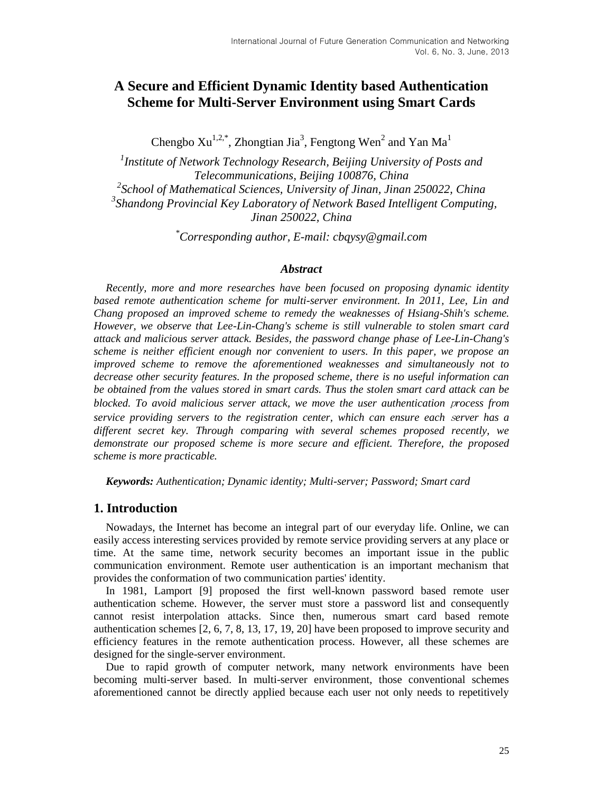# **A Secure and Efficient Dynamic Identity based Authentication Scheme for Multi-Server Environment using Smart Cards**

Chengbo  $Xu^{1,2,*}$ , Zhongtian Jia<sup>3</sup>, Fengtong Wen<sup>2</sup> and Yan Ma<sup>1</sup>

*1 Institute of Network Technology Research, Beijing University of Posts and Telecommunications, Beijing 100876, China 2 School of Mathematical Sciences, University of Jinan, Jinan 250022, China* <sup>3</sup> Shandong Provincial Key Laboratory of Network Based Intelligent Computing, *Jinan 250022, China*

*\*Corresponding author, E-mail: cbqysy@gmail.com*

### *Abstract*

*Recently, more and more researches have been focused on proposing dynamic identity based remote authentication scheme for multi-server environment. In 2011, Lee, Lin and Chang proposed an improved scheme to remedy the weaknesses of Hsiang-Shih's scheme. However, we observe that Lee-Lin-Chang's scheme is still vulnerable to stolen smart card attack and malicious server attack. Besides, the password change phase of Lee-Lin-Chang's scheme is neither efficient enough nor convenient to users. In this paper, we propose an improved scheme to remove the aforementioned weaknesses and simultaneously not to decrease other security features. In the proposed scheme, there is no useful information can be obtained from the values stored in smart cards. Thus the stolen smart card attack can be blocked. To avoid malicious server attack, we move the user authentication* <sup>p</sup>*rocess from service providing servers to the registration center, which can ensure each* <sup>s</sup>*erver has a different secret key. Through comparing with several schemes proposed recently, we demonstrate our proposed scheme is more secure and efficient. Therefore, the proposed scheme is more practicable.*

*Keywords: Authentication; Dynamic identity; Multi-server; Password; Smart card*

# **1. Introduction**

Nowadays, the Internet has become an integral part of our everyday life. Online, we can easily access interesting services provided by remote service providing servers at any place or time. At the same time, network security becomes an important issue in the public communication environment. Remote user authentication is an important mechanism that provides the conformation of two communication parties' identity.

In 1981, Lamport [9] proposed the first well-known password based remote user authentication scheme. However, the server must store a password list and consequently cannot resist interpolation attacks. Since then, numerous smart card based remote authentication schemes [2, 6, 7, 8, 13, 17, 19, 20] have been proposed to improve security and efficiency features in the remote authentication process. However, all these schemes are designed for the single-server environment.

Due to rapid growth of computer network, many network environments have been becoming multi-server based. In multi-server environment, those conventional schemes aforementioned cannot be directly applied because each user not only needs to repetitively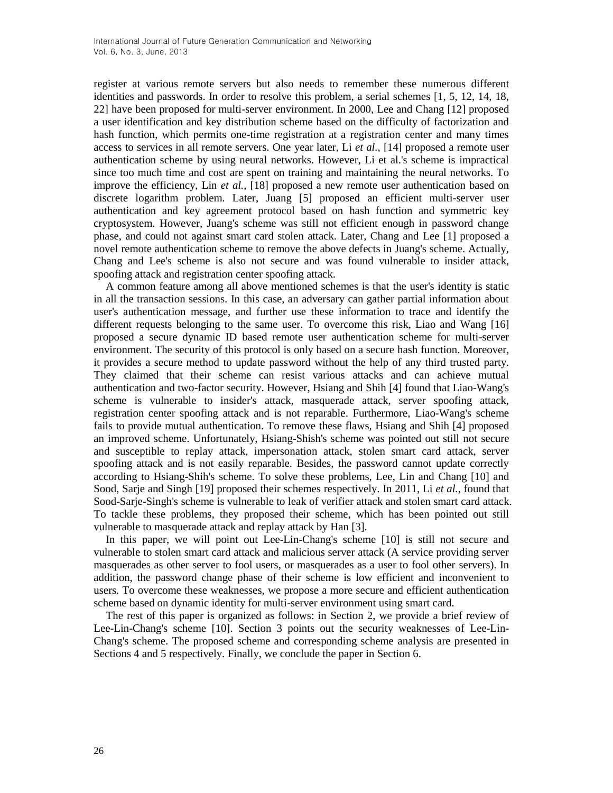register at various remote servers but also needs to remember these numerous different identities and passwords. In order to resolve this problem, a serial schemes [1, 5, 12, 14, 18, 22] have been proposed for multi-server environment. In 2000, Lee and Chang [12] proposed a user identification and key distribution scheme based on the difficulty of factorization and hash function, which permits one-time registration at a registration center and many times access to services in all remote servers. One year later, Li *et al.*, [14] proposed a remote user authentication scheme by using neural networks. However, Li et al.'s scheme is impractical since too much time and cost are spent on training and maintaining the neural networks. To improve the efficiency, Lin *et al.*, [18] proposed a new remote user authentication based on discrete logarithm problem. Later, Juang [5] proposed an efficient multi-server user authentication and key agreement protocol based on hash function and symmetric key cryptosystem. However, Juang's scheme was still not efficient enough in password change phase, and could not against smart card stolen attack. Later, Chang and Lee [1] proposed a novel remote authentication scheme to remove the above defects in Juang's scheme. Actually, Chang and Lee's scheme is also not secure and was found vulnerable to insider attack, spoofing attack and registration center spoofing attack.

A common feature among all above mentioned schemes is that the user's identity is static in all the transaction sessions. In this case, an adversary can gather partial information about user's authentication message, and further use these information to trace and identify the different requests belonging to the same user. To overcome this risk, Liao and Wang [16] proposed a secure dynamic ID based remote user authentication scheme for multi-server environment. The security of this protocol is only based on a secure hash function. Moreover, it provides a secure method to update password without the help of any third trusted party. They claimed that their scheme can resist various attacks and can achieve mutual authentication and two-factor security. However, Hsiang and Shih [4] found that Liao-Wang's scheme is vulnerable to insider's attack, masquerade attack, server spoofing attack, registration center spoofing attack and is not reparable. Furthermore, Liao-Wang's scheme fails to provide mutual authentication. To remove these flaws, Hsiang and Shih [4] proposed an improved scheme. Unfortunately, Hsiang-Shish's scheme was pointed out still not secure and susceptible to replay attack, impersonation attack, stolen smart card attack, server spoofing attack and is not easily reparable. Besides, the password cannot update correctly according to Hsiang-Shih's scheme. To solve these problems, Lee, Lin and Chang [10] and Sood, Sarje and Singh [19] proposed their schemes respectively. In 2011, Li *et al.*, found that Sood-Sarje-Singh's scheme is vulnerable to leak of verifier attack and stolen smart card attack. To tackle these problems, they proposed their scheme, which has been pointed out still vulnerable to masquerade attack and replay attack by Han [3].

In this paper, we will point out Lee-Lin-Chang's scheme [10] is still not secure and vulnerable to stolen smart card attack and malicious server attack (A service providing server masquerades as other server to fool users, or masquerades as a user to fool other servers). In addition, the password change phase of their scheme is low efficient and inconvenient to users. To overcome these weaknesses, we propose a more secure and efficient authentication scheme based on dynamic identity for multi-server environment using smart card.

The rest of this paper is organized as follows: in Section 2, we provide a brief review of Lee-Lin-Chang's scheme [10]. Section 3 points out the security weaknesses of Lee-Lin-Chang's scheme. The proposed scheme and corresponding scheme analysis are presented in Sections 4 and 5 respectively. Finally, we conclude the paper in Section 6.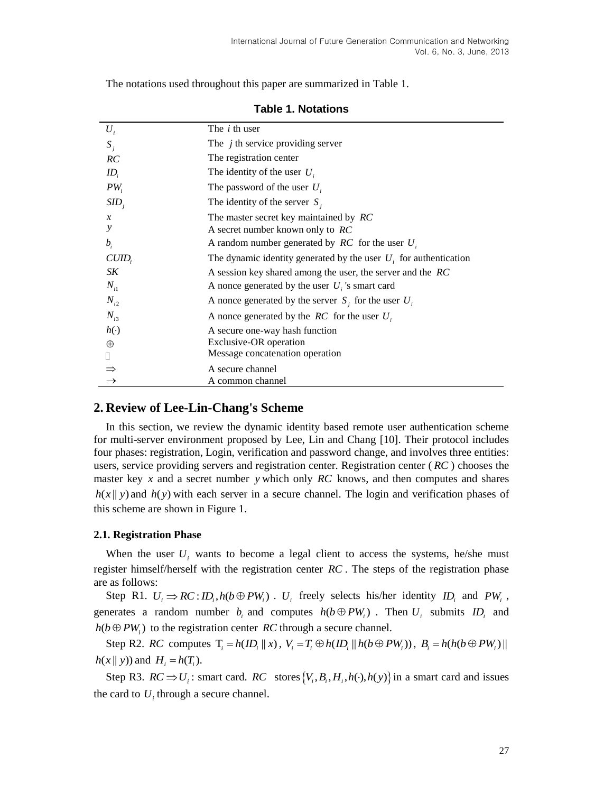| $U_i$         | The <i>i</i> th user                                                |
|---------------|---------------------------------------------------------------------|
| $S_i$         | The $j$ th service providing server                                 |
| RC            | The registration center                                             |
| $ID_i$        | The identity of the user $U_i$                                      |
| $PW_i$        | The password of the user $U_i$                                      |
| $SID_i$       | The identity of the server $S_i$                                    |
| $\mathcal{X}$ | The master secret key maintained by RC                              |
| у             | A secret number known only to $RC$                                  |
| $b_i$         | A random number generated by $RC$ for the user $U_i$                |
| CUID          | The dynamic identity generated by the user $U_i$ for authentication |
| SK            | A session key shared among the user, the server and the RC          |
| $N_{i1}$      | A nonce generated by the user $U_i$ 's smart card                   |
| $N_{i2}$      | A nonce generated by the server $S_i$ for the user $U_i$            |
| $N_{i3}$      | A nonce generated by the $RC$ for the user $U_i$                    |
| $h(\cdot)$    | A secure one-way hash function                                      |
| $\oplus$      | Exclusive-OR operation                                              |
|               | Message concatenation operation                                     |
|               | A secure channel                                                    |
|               | A common channel                                                    |

**Table 1. Notations** 

The notations used throughout this paper are summarized in Table 1.

# **2. Review of Lee-Lin-Chang's Scheme**

In this section, we review the dynamic identity based remote user authentication scheme for multi-server environment proposed by Lee, Lin and Chang [10]. Their protocol includes four phases: registration, Login, verification and password change, and involves three entities: users, service providing servers and registration center. Registration center ( *RC* ) chooses the master key  $x$  and a secret number  $y$  which only  $RC$  knows, and then computes and shares  $h(x || y)$  and  $h(y)$  with each server in a secure channel. The login and verification phases of this scheme are shown in Figure 1.

### **2.1. Registration Phase**

When the user  $U_i$  wants to become a legal client to access the systems, he/she must register himself/herself with the registration center *RC* . The steps of the registration phase are as follows:

Step R1.  $U_i \Rightarrow RC: ID_i, h(b \oplus PW_i)$ .  $U_i$  freely selects his/her identity  $ID_i$  and  $PW_i$ , generates a random number  $b_i$  and computes  $h(b \oplus PW_i)$ . Then  $U_i$  submits  $ID_i$  and  $h(b \oplus PW_i)$  to the registration center RC through a secure channel.

Step R2. *RC* computes  $T_i = h(ID_i || x)$ ,  $V_i = T_i \oplus h(ID_i || h(b \oplus PW_i))$ ,  $B_i = h(h(b \oplus PW_i) ||$  $h(x || y)$  and  $H_i = h(T_i)$ .

Step R3.  $RC \Rightarrow U_i$ : smart card.  $RC$  stores  $\{V_i, B_i, H_i, h(\cdot), h(y)\}$  in a smart card and issues the card to  $U_i$  through a secure channel.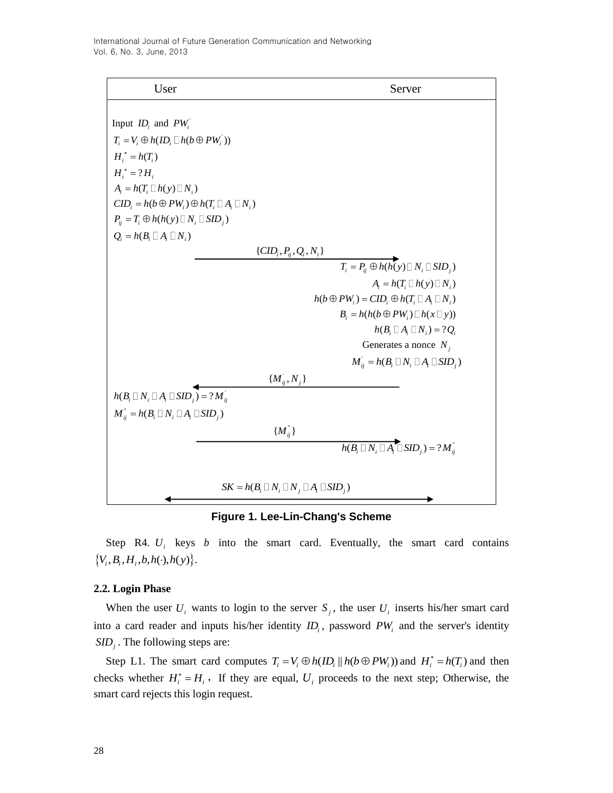

**Figure 1. Lee-Lin-Chang's Scheme**

Step R4.  $U_i$  keys  $b$  into the smart card. Eventually, the smart card contains  $\{V_i, B_i, H_i, b, h(\cdot), h(\cdot)\}.$ 

### **2.2. Login Phase**

When the user  $U_i$  wants to login to the server  $S_j$ , the user  $U_i$  inserts his/her smart card into a card reader and inputs his/her identity  $ID_i$ , password  $PW_i$  and the server's identity SID<sub>j</sub>. The following steps are:

Step L1. The smart card computes  $T_i = V_i \oplus h(ID_i || h(b \oplus PW_i))$  and  $H_i^* = h(T_i)$  and then checks whether  $H_i^* = H_i$ , If they are equal,  $U_i$  proceeds to the next step; Otherwise, the smart card rejects this login request.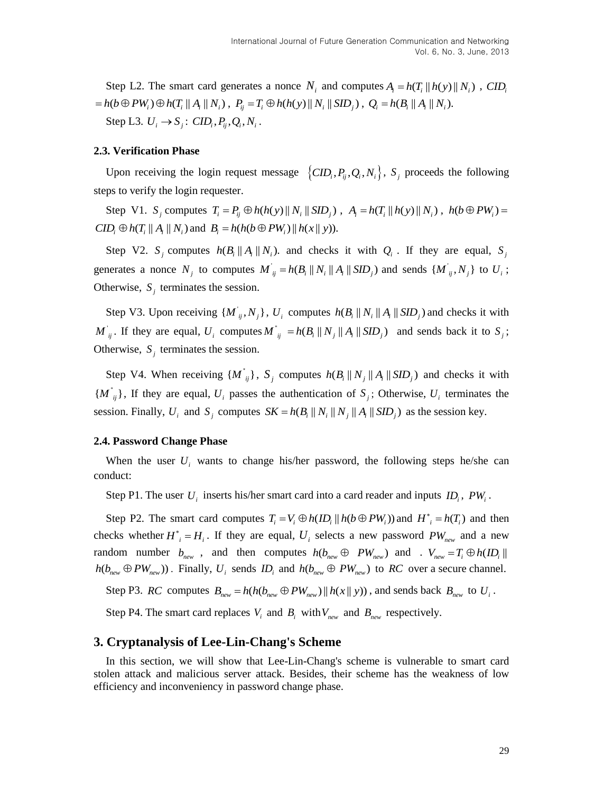Step L2. The smart card generates a nonce  $N_i$  and computes  $A_i = h(T_i || h(y) || N_i)$ , CID<sub>i</sub>  $= h(b \oplus PW_i) \oplus h(T_i || A_i || N_i)$ ,  $P_{ij} = T_i \oplus h(h(y) || N_i || SID_j)$ ,  $Q_i = h(B_i || A_i || N_i)$ . Step L3.  $U_i \rightarrow S_j$ :  $CID_i, P_{ij}, Q_i, N_i$ .

#### **2.3. Verification Phase**

Upon receiving the login request message  $\{CID_i, P_{ij}, Q_i, N_i\}$ ,  $S_j$  proceeds the following steps to verify the login requester.

Step V1.  $S_j$  computes  $T_i = P_{ij} \oplus h(h(y)) || N_i || SID_j)$ ,  $A_i = h(T_i || h(y) || N_i)$ ,  $h(b \oplus PW_i) =$  $CID_i \oplus h(T_i || A_i || N_i)$  and  $B_i = h(h(b \oplus PW_i) || h(x || y)).$ 

Step V2.  $S_j$  computes  $h(B_i || A_j || N_i)$ . and checks it with  $Q_i$ . If they are equal,  $S_j$ generates a nonce  $N_j$  to computes  $M_j$  $\overline{M}_{ij} = h(B_i || N_i || A_i || SID_j)$  and sends  $\{M_{ij}, N_j\}$  to  $U_i$ ; Otherwise,  $S_j$  terminates the session.

Step V3. Upon receiving  $\{M_{ij}, N_j\}$ ,  $U_i$  computes  $h(B_i || N_i || A_i || SID_j)$  and checks it with  $M'_{ij}$ . If they are equal,  $U_i$  computes  $M'$  $M^{\dagger}_{ij} = h(B_i || N_j || A_i || SID_j)$  and sends back it to  $S_j$ ; Otherwise,  $S_j$  terminates the session.

Step V4. When receiving  $\{M^{\dagger}_{ij}\}\$ ,  $S_j$  computes  $h(B_i \| N_j \| A_i \| SID_j)$  and checks it with  $\{M^{\dagger}_{ij}\}\$ , If they are equal,  $U_i$  passes the authentication of  $S_j$ ; Otherwise,  $U_i$  terminates the session. Finally,  $U_i$  and  $S_j$  computes  $SK = h(B_i || N_i || N_j || A_i || SID_j)$  as the session key.

#### **2.4. Password Change Phase**

When the user  $U_i$  wants to change his/her password, the following steps he/she can conduct:

Step P1. The user  $U_i$  inserts his/her smart card into a card reader and inputs  $ID_i$ ,  $PW_i$ .

Step P2. The smart card computes  $T_i = V_i \oplus h(ID_i || h(b \oplus PW_i))$  and  $H^*_{i} = h(T_i)$  and then checks whether  $H^*_{i} = H_i$ . If they are equal,  $U_i$  selects a new password  $PW_{new}$  and a new random number  $b_{new}$ , and then computes  $h(b_{new} \oplus PW_{new})$  and  $V_{new} = T_i \oplus h(ID_i \parallel$  $h(b_{new} \oplus PW_{new})$ . Finally,  $U_i$  sends  $ID_i$  and  $h(b_{new} \oplus PW_{new})$  to RC over a secure channel.

Step P3. *RC* computes  $B_{new} = h(h(b_{new} \oplus PW_{new}) || h(x || y))$ , and sends back  $B_{new}$  to  $U_i$ .

Step P4. The smart card replaces  $V_i$  and  $B_i$  with  $V_{new}$  and  $B_{new}$  respectively.

### **3. Cryptanalysis of Lee-Lin-Chang's Scheme**

In this section, we will show that Lee-Lin-Chang's scheme is vulnerable to smart card stolen attack and malicious server attack. Besides, their scheme has the weakness of low efficiency and inconveniency in password change phase.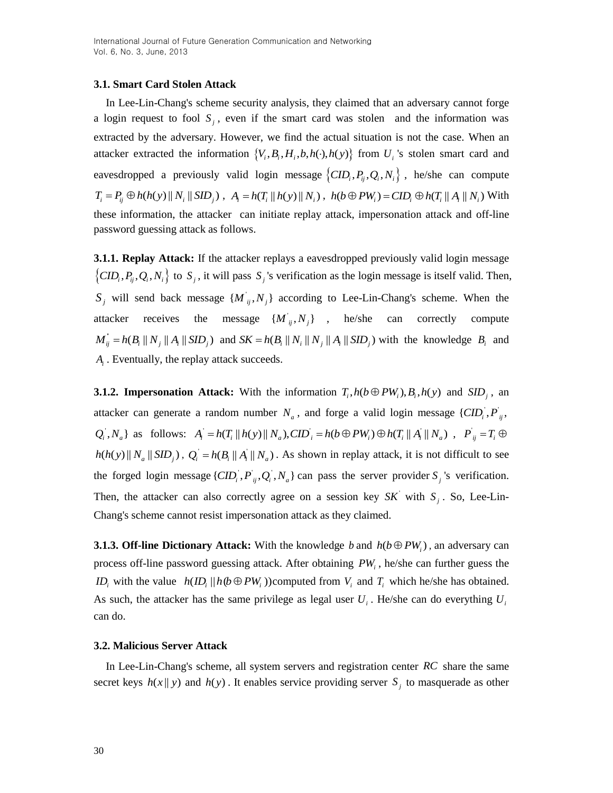# **3.1. Smart Card Stolen Attack**

In Lee-Lin-Chang's scheme security analysis, they claimed that an adversary cannot forge a login request to fool  $S_j$ , even if the smart card was stolen and the information was extracted by the adversary. However, we find the actual situation is not the case. When an attacker extracted the information  $\{V_i, B_i, H_i, b, h(\cdot), h(\cdot)\}\$  from  $U_i$ 's stolen smart card and eavesdropped a previously valid login message  $\{CID_i, P_{ij}, Q_i, N_i\}$ , he/she can compute  $T_i = P_{ij} \oplus h(h(y) \| N_i \| SID_j)$ ,  $A_i = h(T_i \| h(y) \| N_i)$ ,  $h(b \oplus PW_i) = CID_i \oplus h(T_i \| A_i \| N_i)$  With these information, the attacker can initiate replay attack, impersonation attack and off-line password guessing attack as follows.

**3.1.1. Replay Attack:** If the attacker replays a eavesdropped previously valid login message  $\{CID_i, P_{ij}, Q_i, N_i\}$  to  $S_j$ , it will pass  $S_j$ 's verification as the login message is itself valid. Then,  $S_j$  will send back message  $\{M_{ij}, N_j\}$  according to Lee-Lin-Chang's scheme. When the attacker receives the message  $\{M'_{ij}, N_j\}$ , he/she can correctly compute ''  $M_{ij}^{\dagger} = h(B_i || N_j || A_i || SID_j)$  and  $SK = h(B_i || N_i || N_j || A_i || SID_j)$  with the knowledge  $B_i$  and *Ai* . Eventually, the replay attack succeeds.

**3.1.2. Impersonation Attack:** With the information  $T_i$ ,  $h(b \oplus PW_i)$ ,  $B_i$ ,  $h(y)$  and  $SID_j$ , an attacker can generate a random number  $N_a$ , and forge a valid login message  $\{CID_i, P_{ij},\}$  $Q_i$ ,  $N_a$ } as follows:  $A_i = h(T_i || h(y) || N_a)$ ,  $CID_i = h(b \oplus PW_i) \oplus h(T_i || A_i)$ a random number  $N_a$ , and forge a valid login message<br> $A_i = h(T_i || h(y) || N_a)$ ,  $CID_i = h(b \oplus PW_i) \oplus h(T_i || A_i || N_a)$ ,  $P^{'}_{ij} = T_i \oplus$  $h(h(y) || N_a || SD_j)$ ,  $Q_i = h(B_i || A_i || N_a)$ . As shown in replay attack, it is not difficult to see the forged login message  $\{CID_i, P_{ij}, Q_i, N_a\}$  can pass the server provider  $S_j$ 's verification. Then, the attacker can also correctly agree on a session key  $SK'$  with  $S_i$ . So, Lee-Lin-Chang's scheme cannot resist impersonation attack as they claimed.

**3.1.3. Off-line Dictionary Attack:** With the knowledge  $b$  and  $h(b \oplus PW_i)$ , an adversary can process off-line password guessing attack. After obtaining *PW<sup>i</sup>* , he/she can further guess the *ID*<sub>*i*</sub> with the value  $h(D_i || h(\theta \oplus PW_i))$ computed from  $V_i$  and  $T_i$  which he/she has obtained. As such, the attacker has the same privilege as legal user  $U_i$ . He/she can do everything  $U_i$ can do.

### **3.2. Malicious Server Attack**

In Lee-Lin-Chang's scheme, all system servers and registration center *RC* share the same secret keys  $h(x||y)$  and  $h(y)$ . It enables service providing server  $S_j$  to masquerade as other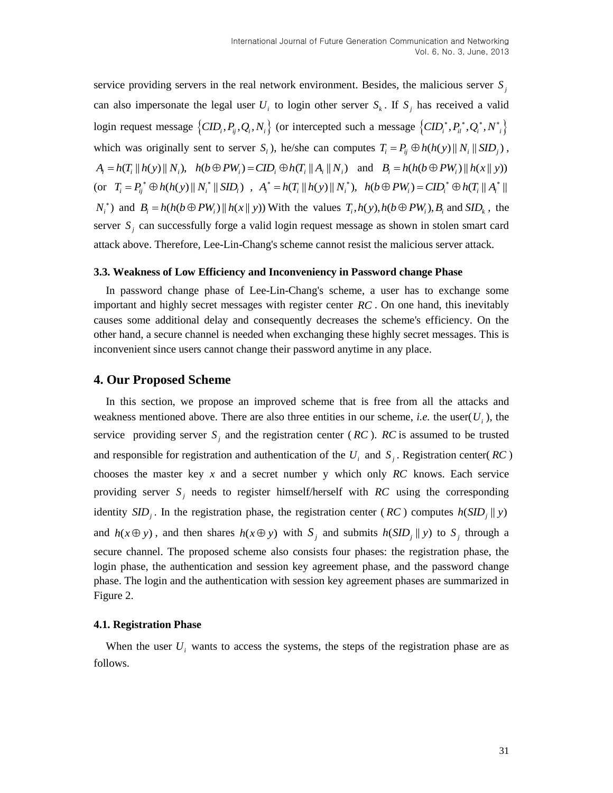service providing servers in the real network environment. Besides, the malicious server  $S<sub>j</sub>$ can also impersonate the legal user  $U_i$  to login other server  $S_k$ . If  $S_j$  has received a valid login request message  $\{CID_i, P_{ij}, Q_i, N_i\}$  (or intercepted such a message  $\{CID_i^*, P_{il}^*, Q_i^*, N_i^*\}$ which was originally sent to server  $S_i$ ), he/she can computes  $T_i = P_{ij} \oplus h(h(y) || N_i || SID_j)$ ,  $A_i = h(T_i || h(y) || N_i), h(b \oplus PW_i) = CID_i \oplus h(T_i || A_i || N_i)$  and  $B_i = h(h(b \oplus PW_i) || h(x || y))$ (or  $T_i = P_{ij}^* \oplus h(h(y) || N_i^* || SD_i)$ ,  $A_i^* = h(T_i || h(y) || N_i^*), h(b \oplus PW_i) = CID_i^* \oplus h(T_i || A_i^* || D_i)$  $N_i^*$ ) and  $B_i = h(h(b \oplus PW_i) || h(x || y))$  With the values  $T_i, h(y), h(b \oplus PW_i)$ ,  $B_i$  and  $SID_k$ , the server  $S_j$  can successfully forge a valid login request message as shown in stolen smart card attack above. Therefore, Lee-Lin-Chang's scheme cannot resist the malicious server attack.

#### **3.3. Weakness of Low Efficiency and Inconveniency in Password change Phase**

In password change phase of Lee-Lin-Chang's scheme, a user has to exchange some important and highly secret messages with register center *RC* . On one hand, this inevitably causes some additional delay and consequently decreases the scheme's efficiency. On the other hand, a secure channel is needed when exchanging these highly secret messages. This is inconvenient since users cannot change their password anytime in any place.

# **4. Our Proposed Scheme**

In this section, we propose an improved scheme that is free from all the attacks and weakness mentioned above. There are also three entities in our scheme, *i.e.* the user  $(U_i)$ , the service providing server  $S_j$  and the registration center (*RC*). *RC* is assumed to be trusted and responsible for registration and authentication of the  $U_i$  and  $S_j$ . Registration center(*RC*) chooses the master key  $x$  and a secret number  $y$  which only  $RC$  knows. Each service providing server  $S_j$  needs to register himself/herself with RC using the corresponding identity  $SID_j$ . In the registration phase, the registration center (*RC*) computes  $h(SID_j || y)$ and  $h(x \oplus y)$ , and then shares  $h(x \oplus y)$  with  $S_j$  and submits  $h(SID_j || y)$  to  $S_j$  through a secure channel. The proposed scheme also consists four phases: the registration phase, the login phase, the authentication and session key agreement phase, and the password change phase. The login and the authentication with session key agreement phases are summarized in Figure 2.

### **4.1. Registration Phase**

When the user  $U_i$  wants to access the systems, the steps of the registration phase are as follows.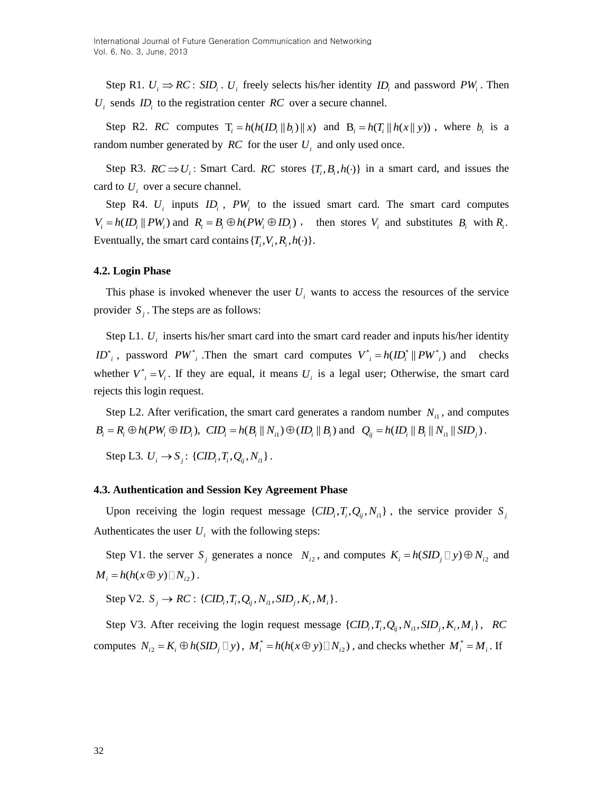Step R1.  $U_i \Rightarrow RC : SID_i$ .  $U_i$  freely selects his/her identity  $ID_i$  and password  $PW_i$ . Then  $U_i$  sends  $ID_i$  to the registration center  $RC$  over a secure channel.

Step R2. *RC* computes  $T_i = h(h(\mathbf{ID}_i || b_i) || x)$  and  $B_i = h(T_i || h(x || y))$ , where  $b_i$  is a random number generated by  $RC$  for the user  $U_i$  and only used once.

Step R3.  $RC \Rightarrow U_i$ : Smart Card.  $RC$  stores  $\{T_i, B_i, h(\cdot)\}$  in a smart card, and issues the card to  $U_i$  over a secure channel.

Step R4.  $U_i$  inputs  $ID_i$ ,  $PW_i$  to the issued smart card. The smart card computes  $V_i = h(ID_i || PW_i)$  and  $R_i = B_i \oplus h(PW_i \oplus ID_i)$ , then stores  $V_i$  and substitutes  $B_i$  with  $R_i$ . Eventually, the smart card contains  $\{T_i, V_i, R_i, h(\cdot)\}.$ 

#### **4.2. Login Phase**

This phase is invoked whenever the user  $U_i$  wants to access the resources of the service provider  $S_j$ . The steps are as follows:

Step L1.  $U_i$  inserts his/her smart card into the smart card reader and inputs his/her identity  $ID^*$ , password  $PW^*$ , Then the smart card computes  $V^*$  =  $h(ID^*$  ||  $PW^*$ <sub>i</sub>) and checks whether  $V^*_{i} = V_i$ . If they are equal, it means  $U_i$  is a legal user; Otherwise, the smart card rejects this login request.

Step L2. After verification, the smart card generates a random number  $N_{i1}$ , and computes  $B_i = R_i \oplus h(PW_i \oplus ID_i), \quad \text{CID}_i = h(B_i || N_{i1}) \oplus (ID_i || B_i) \text{ and } Q_{ij} = h(ID_i || B_i || N_{i1} || SID_j).$ 

Step L3.  $U_i \to S_j$ : { $CID_i, T_i, Q_{ij}, N_{i1}$ }.

### **4.3. Authentication and Session Key Agreement Phase**

Upon receiving the login request message  $\{CID_i, T_i, Q_{ij}, N_{i1}\}$ , the service provider  $S_j$ Authenticates the user  $U_i$  with the following steps:

Step V1. the server  $S_j$  generates a nonce  $N_{i2}$ , and computes  $K_i = h(SID_j \Box y) \oplus N_{i2}$  and  $M_i = h(h(x \oplus y) \square N_{i2})$ .

 $Step V2. S_j \rightarrow RC: \{CID_i, T_i, Q_{ij}, N_{i1}, SID_j, K_i, M_i\}.$ 

Step V3. After receiving the login request message  $\{CID_i, T_i, Q_{ij}, N_{i1}, SID_j, K_i, M_i\}$ , RC computes  $N_{i2} = K_i \oplus h(SID_j \Box y)$ ,  $M_i^* = h(h(x \oplus y) \Box N_{i2})$ , and checks whether  $M_i^* = M_i$ . If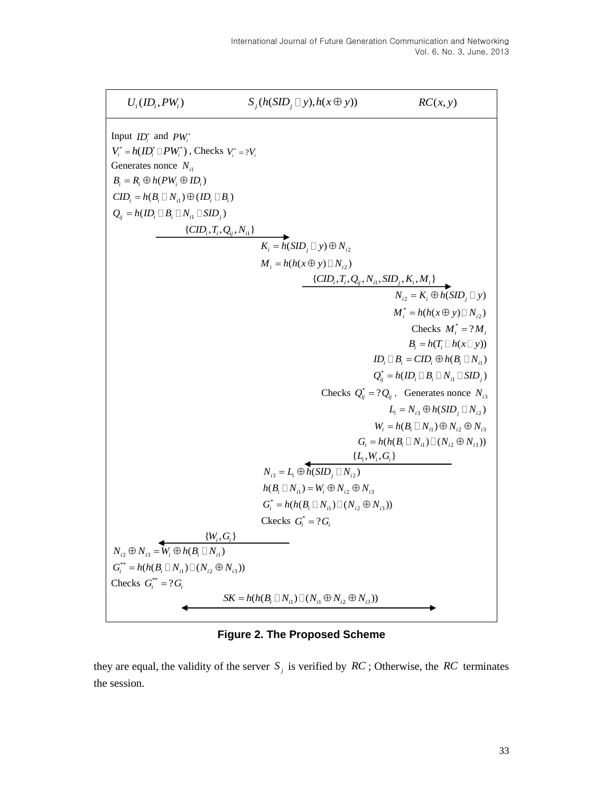

**Figure 2. The Proposed Scheme**

they are equal, the validity of the server  $S_j$  is verified by  $RC$ ; Otherwise, the RC terminates the session.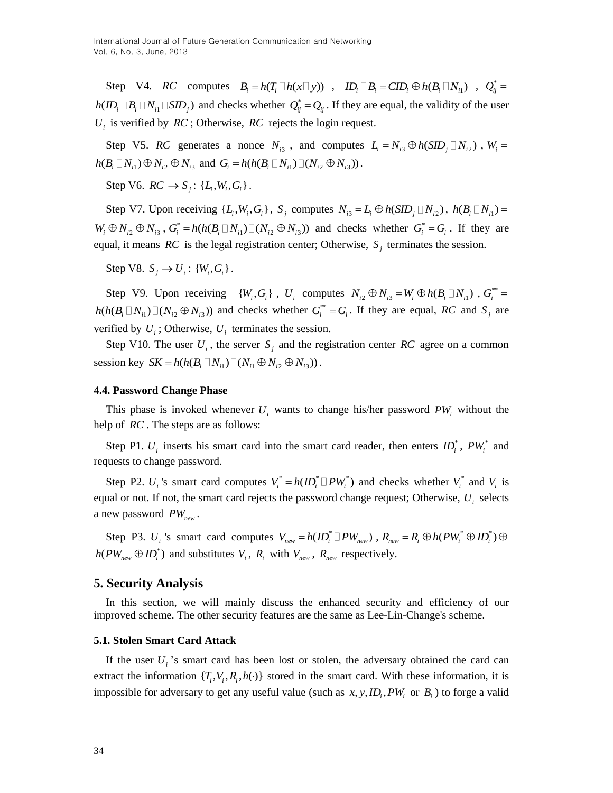Step V4. RC computes  $B_i = h(T_i \Box h(x \Box y))$ ,  $ID_i \Box B_i = CID_i \oplus h(B_i \Box N_{i1})$ ,  $Q_{ij}^* =$  $h(ID_i \Box B_i \Box N_{i1} \Box SD_j)$  and checks whether  $Q_{ij}^* = Q_{ij}$ . If they are equal, the validity of the user  $U_i$  is verified by  $RC$ ; Otherwise,  $RC$  rejects the login request.

Step V5. *RC* generates a nonce  $N_{i3}$ , and computes  $L_i = N_{i3} \oplus h(SID_j \square N_{i2})$ ,  $W_i =$  $h(B_i \Box N_{i1}) \oplus N_{i2} \oplus N_{i3}$  and  $G_i = h(h(B_i \Box N_{i1}) \Box (N_{i2} \oplus N_{i3}))$ .

Step V6.  $RC \to S_j$ : { $L_i, W_i, G_i$ }.

Step V7. Upon receiving  $\{L_i, W_i, G_i\}$ ,  $S_j$  computes  $N_{i3} = L_i \oplus h(SID_j \Box N_{i2})$ ,  $h(B_i \Box N_{i1}) =$  $W_i \oplus N_{i2} \oplus N_{i3}$  ,  $G_i^*$  $G_i^* = h(h(B_i \Box N_{i1}) \Box (N_{i2} \oplus N_{i3}))$  and checks whether  $G_i^* = G_i$ . If they are equal, it means  $RC$  is the legal registration center; Otherwise,  $S_j$  terminates the session.

Step V8.  $S_j \to U_i: \{W_i, G_i\}$ .

Step V9. Upon receiving  $\{W_i, G_i\}$ ,  $U_i$  computes  $N_{i2} \oplus N_{i3} = W_i \oplus h(B_i \square N_{i1})$ ,  $G_i^{**} =$  $h(h(B_i \Box N_{i1}) \Box (N_{i2} \oplus N_{i3}))$  and checks whether  $G_i^{**} = G_i$ . If they are equal, RC and  $S_j$  are verified by  $U_i$ ; Otherwise,  $U_i$  terminates the session.

Step V10. The user  $U_i$ , the server  $S_j$  and the registration center RC agree on a common Step V10. The user  $U_i$ , the server  $S_j$  and the resession key  $SK = h(h(B_i \square N_{i1}) \square (N_{i1} \oplus N_{i2} \oplus N_{i3}))$ .

#### **4.4. Password Change Phase**

This phase is invoked whenever  $U_i$  wants to change his/her password  $PW_i$  without the help of *RC* . The steps are as follows:

Step P1.  $U_i$  inserts his smart card into the smart card reader, then enters  $ID_i^*$ ,  $PW_i^*$  and requests to change password.

Step P2.  $U_i$ 's smart card computes  $V_i^* = h(ID_i^* \square PW_i^*)$  and checks whether  $V_i^*$  and  $V_i$  is equal or not. If not, the smart card rejects the password change request; Otherwise, *Ui* selects a new password *PWnew* .

Step P3.  $U_i$  's smart card computes  $V_{new} = h(ID_i^* \Box PW_{new}^*)$ ,  $R_{new} = R_i \oplus h(PW_i^* \oplus ID_i^*) \oplus$  $h(PW_{new} \oplus ID_i^*)$  and substitutes  $V_i$ ,  $R_i$  with  $V_{new}$ ,  $R_{new}$  respectively.

### **5. Security Analysis**

In this section, we will mainly discuss the enhanced security and efficiency of our improved scheme. The other security features are the same as Lee-Lin-Change's scheme.

#### **5.1. Stolen Smart Card Attack**

If the user  $U_i$ 's smart card has been lost or stolen, the adversary obtained the card can extract the information  $\{T_i, V_i, R_i, h(\cdot)\}$  stored in the smart card. With these information, it is impossible for adversary to get any useful value (such as  $x, y, ID_i, PW_i$  or  $B_i$ ) to forge a valid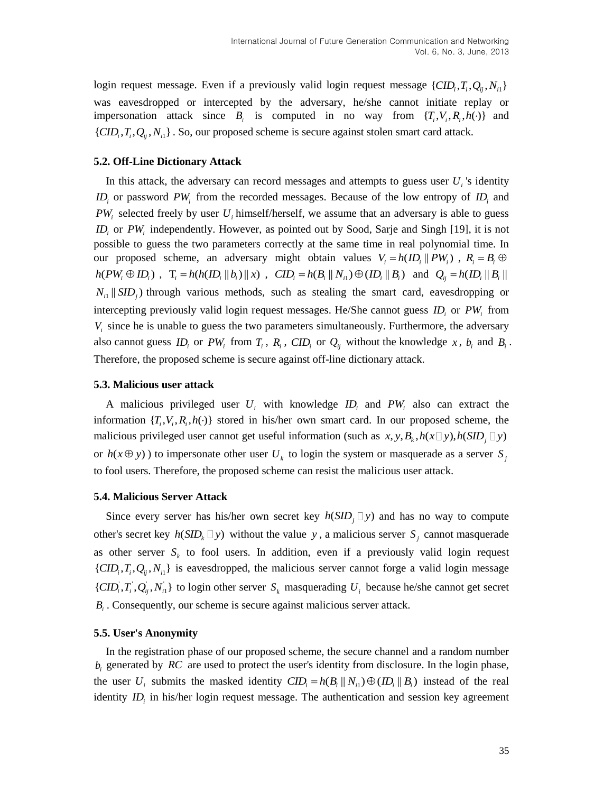login request message. Even if a previously valid login request message  $\{CID_i, T_i, Q_{ij}, N_{i1}\}$ was eavesdropped or intercepted by the adversary, he/she cannot initiate replay or impersonation attack since  $B_i$  is computed in no way from  $\{T_i, V_i, R_i, h(\cdot)\}$  and  $\{CID_i, T_i, Q_{ij}, N_{i1}\}$ . So, our proposed scheme is secure against stolen smart card attack.

#### **5.2. Off-Line Dictionary Attack**

In this attack, the adversary can record messages and attempts to guess user  $U_i$ 's identity *ID*<sub>*i*</sub> or password  $PW_i$  from the recorded messages. Because of the low entropy of  $ID_i$  and  $PW_i$  selected freely by user  $U_i$  himself/herself, we assume that an adversary is able to guess *ID*<sub>*i*</sub> or PW<sub>*i*</sub> independently. However, as pointed out by Sood, Sarje and Singh [19], it is not possible to guess the two parameters correctly at the same time in real polynomial time. In our proposed scheme, an adversary might obtain values  $V_i = h(ID_i || PW_i)$ ,  $R_i = B_i \oplus I_i$  $h(PW_i \oplus ID_i)$ ,  $T_i = h(h(ID_i || b_i) || x)$ ,  $CID_i = h(B_i || N_{i1}) \oplus (ID_i || B_i)$  and  $Q_{ij} = h(ID_i || B_i || x_{i2})$  $N_{i}$  ||  $SID_j$ ) through various methods, such as stealing the smart card, eavesdropping or intercepting previously valid login request messages. He/She cannot guess  $ID_i$  or  $PW_i$  from *Vi* since he is unable to guess the two parameters simultaneously. Furthermore, the adversary also cannot guess  $ID_i$  or  $PW_i$  from  $T_i$ ,  $R_i$ ,  $CID_i$  or  $Q_{ij}$  without the knowledge  $x$ ,  $b_i$  and  $B_i$ . Therefore, the proposed scheme is secure against off-line dictionary attack.

#### **5.3. Malicious user attack**

A malicious privileged user  $U_i$  with knowledge  $ID_i$  and  $PW_i$  also can extract the information  $\{T_i, V_i, R_i, h(\cdot)\}$  stored in his/her own smart card. In our proposed scheme, the malicious privileged user cannot get useful information (such as  $x, y, B_k, h(x \Box y), h(SID_j \Box y)$ ) or  $h(x \oplus y)$ ) to impersonate other user  $U_k$  to login the system or masquerade as a server  $S_j$ to fool users. Therefore, the proposed scheme can resist the malicious user attack.

### **5.4. Malicious Server Attack**

Since every server has his/her own secret key  $h(SID_j \Box y)$  and has no way to compute other's secret key  $h(SID_k \square y)$  without the value y, a malicious server  $S_j$  cannot masquerade as other server  $S_k$  to fool users. In addition, even if a previously valid login request  $\{CID_i, T_i, Q_{ij}, N_{i1}\}$  is eavesdropped, the malicious server cannot forge a valid login message  $\{CD_i, T_i, Q_i, N_i\}$  to login other server  $S_k$  masquerading  $U_i$  because he/she cannot get secret  $B_i$ . Consequently, our scheme is secure against malicious server attack.

### **5.5. User's Anonymity**

In the registration phase of our proposed scheme, the secure channel and a random number  $b_i$  generated by  $RC$  are used to protect the user's identity from disclosure. In the login phase, the user  $U_i$  submits the masked identity  $CID_i = h(B_i || N_{i1}) \oplus (ID_i || B_i)$  instead of the real identity *ID*<sub>i</sub> in his/her login request message. The authentication and session key agreement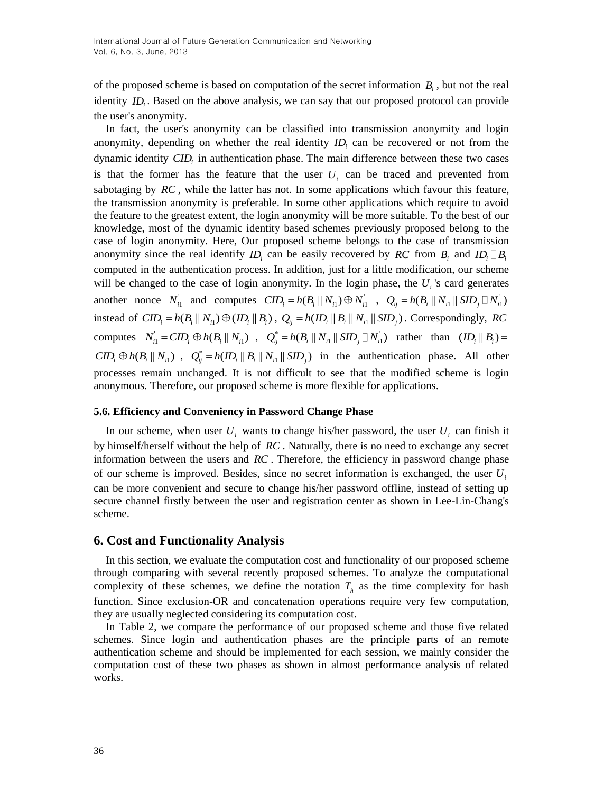of the proposed scheme is based on computation of the secret information *Bi* , but not the real identity *ID*<sub>i</sub>. Based on the above analysis, we can say that our proposed protocol can provide the user's anonymity.

In fact, the user's anonymity can be classified into transmission anonymity and login anonymity, depending on whether the real identity  $ID_i$  can be recovered or not from the dynamic identity *CID<sup>i</sup>* in authentication phase. The main difference between these two cases is that the former has the feature that the user  $U_i$  can be traced and prevented from sabotaging by *RC* , while the latter has not. In some applications which favour this feature, the transmission anonymity is preferable. In some other applications which require to avoid the feature to the greatest extent, the login anonymity will be more suitable. To the best of our knowledge, most of the dynamic identity based schemes previously proposed belong to the case of login anonymity. Here, Our proposed scheme belongs to the case of transmission anonymity since the real identify  $ID_i$  can be easily recovered by RC from  $B_i$  and  $ID_i \square B_i$ computed in the authentication process. In addition, just for a little modification, our scheme will be changed to the case of login anonymity. In the login phase, the *Ui* 's card generates another nonce  $N_{i1}$  and computes  $CID_i = h(B_i || N_{i1}) \oplus N_{i1}$  $CID_i = h(B_i || N_{i1}) \oplus N_{i1}^{\dagger} , Q_{ij} = h(B_i || N_{i1} || SID_j ∏ N_{i1}^{\dagger})$  $Q_{ij} = h(B_i || N_{i1} || SID_j ∐ N_{i1}^{'})$ instead of  $CID_i = h(B_i || N_{i1}) \oplus (ID_i || B_i)$ ,  $Q_{ij} = h(ID_i || B_i || N_{i1} || SID_j)$ . Correspondingly, *RC* computes  $N_i$  $N_{i1} = CID_i \oplus h(B_i || N_{i1})$ ,  $Q_{ij}^* = h(B_i || N_{i1} || SID_j ∪ N_{i1})$  rather than  $(ID_i || B_i) =$  $CID_i \oplus h(B_i || N_{i1})$ ,  $Q_{ij}^* = h(ID_i || B_i || N_{i1} || SID_j)$  in the authentication phase. All other processes remain unchanged. It is not difficult to see that the modified scheme is login anonymous. Therefore, our proposed scheme is more flexible for applications.

### **5.6. Efficiency and Conveniency in Password Change Phase**

In our scheme, when user  $U_i$  wants to change his/her password, the user  $U_i$  can finish it by himself/herself without the help of *RC* . Naturally, there is no need to exchange any secret information between the users and *RC* . Therefore, the efficiency in password change phase of our scheme is improved. Besides, since no secret information is exchanged, the user *Ui* can be more convenient and secure to change his/her password offline, instead of setting up secure channel firstly between the user and registration center as shown in Lee-Lin-Chang's scheme.

# **6. Cost and Functionality Analysis**

In this section, we evaluate the computation cost and functionality of our proposed scheme through comparing with several recently proposed schemes. To analyze the computational complexity of these schemes, we define the notation  $T<sub>h</sub>$  as the time complexity for hash function. Since exclusion-OR and concatenation operations require very few computation, they are usually neglected considering its computation cost.

In Table 2, we compare the performance of our proposed scheme and those five related schemes. Since login and authentication phases are the principle parts of an remote authentication scheme and should be implemented for each session, we mainly consider the computation cost of these two phases as shown in almost performance analysis of related works.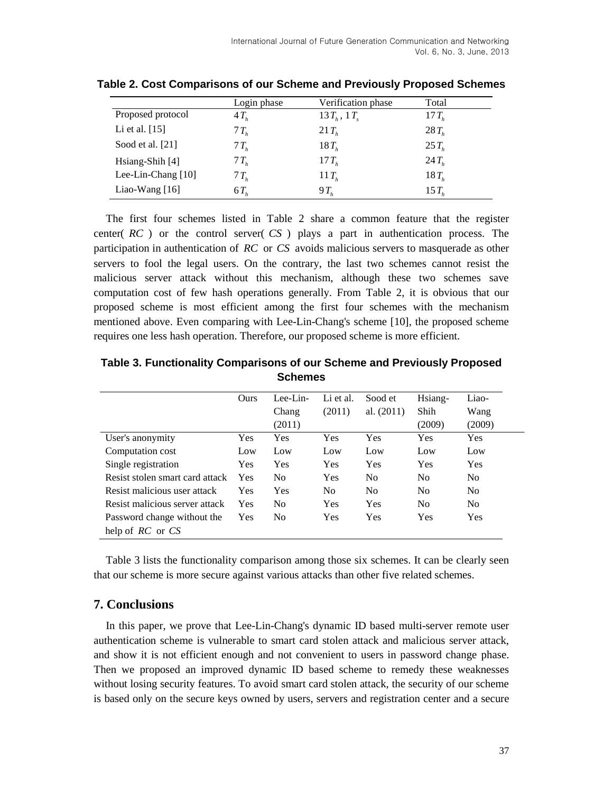|                      | Login phase | Verification phase | Total    |
|----------------------|-------------|--------------------|----------|
| Proposed protocol    | $4T_h$      | $13T_h$ , $1T_s$   | $17T_h$  |
| Li et al. $[15]$     | $7T_h$      | $21 T_h$           | $28T_h$  |
| Sood et al. $[21]$   | $7T_h$      | $18T_h$            | $25T_h$  |
| $Hsiang-Shih [4]$    | $7T_h$      | $17 T_h$           | $24T_h$  |
| Lee-Lin-Chang $[10]$ | $7T_h$      | 11 $Tb$            | $18T_h$  |
| Liao-Wang $[16]$     | $6T_h$      | $9T_h$             | $15 T_h$ |

**Table 2. Cost Comparisons of our Scheme and Previously Proposed Schemes**

The first four schemes listed in Table 2 share a common feature that the register center( *RC* ) or the control server( *CS* ) plays a part in authentication process. The participation in authentication of *RC* or *CS* avoids malicious servers to masquerade as other servers to fool the legal users. On the contrary, the last two schemes cannot resist the malicious server attack without this mechanism, although these two schemes save computation cost of few hash operations generally. From Table 2, it is obvious that our proposed scheme is most efficient among the first four schemes with the mechanism mentioned above. Even comparing with Lee-Lin-Chang's scheme [10], the proposed scheme requires one less hash operation. Therefore, our proposed scheme is more efficient.

|                                 | Ours       | Lee-Lin-       | Li et al.      | Sood et        | Hsiang-        | Liao-          |
|---------------------------------|------------|----------------|----------------|----------------|----------------|----------------|
|                                 |            | Chang          | (2011)         | al. $(2011)$   | Shih           | Wang           |
|                                 |            | (2011)         |                |                | (2009)         | (2009)         |
| User's anonymity                | Yes        | Yes            | Yes            | Yes            | Yes            | <b>Yes</b>     |
| Computation cost                | Low        | Low            | Low            | Low            | Low            | Low            |
| Single registration             | Yes        | Yes            | Yes            | Yes            | Yes            | <b>Yes</b>     |
| Resist stolen smart card attack | <b>Yes</b> | N <sub>0</sub> | Yes            | N <sub>0</sub> | N <sub>0</sub> | N <sub>0</sub> |
| Resist malicious user attack    | Yes        | Yes            | N <sub>0</sub> | N <sub>0</sub> | N <sub>0</sub> | N <sub>0</sub> |
| Resist malicious server attack  | Yes        | N <sub>0</sub> | Yes            | Yes            | N <sub>0</sub> | N <sub>0</sub> |
| Password change without the     | Yes        | N <sub>0</sub> | Yes            | Yes            | Yes            | <b>Yes</b>     |
| help of $RC$ or $CS$            |            |                |                |                |                |                |

**Table 3. Functionality Comparisons of our Scheme and Previously Proposed Schemes**

Table 3 lists the functionality comparison among those six schemes. It can be clearly seen that our scheme is more secure against various attacks than other five related schemes.

# **7. Conclusions**

In this paper, we prove that Lee-Lin-Chang's dynamic ID based multi-server remote user authentication scheme is vulnerable to smart card stolen attack and malicious server attack, and show it is not efficient enough and not convenient to users in password change phase. Then we proposed an improved dynamic ID based scheme to remedy these weaknesses without losing security features. To avoid smart card stolen attack, the security of our scheme is based only on the secure keys owned by users, servers and registration center and a secure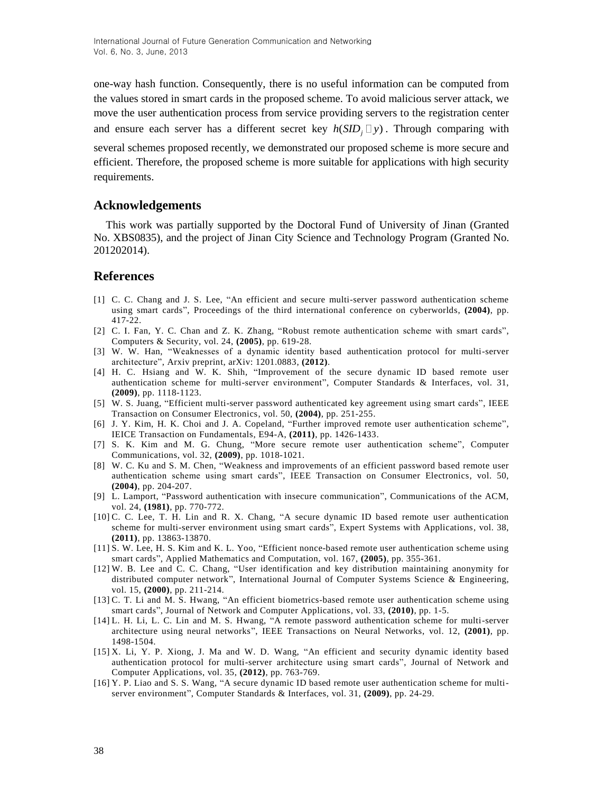one-way hash function. Consequently, there is no useful information can be computed from the values stored in smart cards in the proposed scheme. To avoid malicious server attack, we move the user authentication process from service providing servers to the registration center and ensure each server has a different secret key  $h(SID_j \Box y)$ . Through comparing with

several schemes proposed recently, we demonstrated our proposed scheme is more secure and efficient. Therefore, the proposed scheme is more suitable for applications with high security requirements.

# **Acknowledgements**

This work was partially supported by the Doctoral Fund of University of Jinan (Granted No. XBS0835), and the project of Jinan City Science and Technology Program (Granted No. 201202014).

# **References**

- [1] C. C. Chang and J. S. Lee, "An efficient and secure multi-server password authentication scheme using smart cards", Proceedings of the third international conference on cyberworlds, **(2004)**, pp. 417-22.
- [2] C. I. Fan, Y. C. Chan and Z. K. Zhang, "Robust remote authentication scheme with smart cards", Computers & Security, vol. 24, **(2005)**, pp. 619-28.
- [3] W. W. Han, "Weaknesses of a dynamic identity based authentication protocol for multi-server architecture", Arxiv preprint, arXiv: 1201.0883, **(2012)**.
- [4] H. C. Hsiang and W. K. Shih, "Improvement of the secure dynamic ID based remote user authentication scheme for multi-server environment", Computer Standards & Interfaces, vol. 31, **(2009)**, pp. 1118-1123.
- [5] W. S. Juang, "Efficient multi-server password authenticated key agreement using smart cards", IEEE Transaction on Consumer Electronics, vol. 50, **(2004)**, pp. 251-255.
- [6] J. Y. Kim, H. K. Choi and J. A. Copeland, "Further improved remote user authentication scheme", IEICE Transaction on Fundamentals, E94-A, **(2011)**, pp. 1426-1433.
- [7] S. K. Kim and M. G. Chung, "More secure remote user authentication scheme", Computer Communications, vol. 32, **(2009)**, pp. 1018-1021.
- [8] W. C. Ku and S. M. Chen, "Weakness and improvements of an efficient password based remote user authentication scheme using smart cards", IEEE Transaction on Consumer Electronics, vol. 50, **(2004)**, pp. 204-207.
- [9] L. Lamport, "Password authentication with insecure communication", Communications of the ACM, vol. 24, **(1981)**, pp. 770-772.
- [10] C. C. Lee, T. H. Lin and R. X. Chang, "A secure dynamic ID based remote user authentication scheme for multi-server environment using smart cards", Expert Systems with Applications, vol. 38, **(2011)**, pp. 13863-13870.
- [11] S. W. Lee, H. S. Kim and K. L. Yoo, "Efficient nonce-based remote user authentication scheme using smart cards", Applied Mathematics and Computation, vol. 167, **(2005)**, pp. 355-361.
- [12] W. B. Lee and C. C. Chang, "User identification and key distribution maintaining anonymity for distributed computer network", International Journal of Computer Systems Science & Engineering, vol. 15, **(2000)**, pp. 211-214.
- [13] C. T. Li and M. S. Hwang, "An efficient biometrics-based remote user authentication scheme using smart cards", Journal of Network and Computer Applications, vol. 33, **(2010)**, pp. 1-5.
- [14] L. H. Li, L. C. Lin and M. S. Hwang, "A remote password authentication scheme for multi-server architecture using neural networks", IEEE Transactions on Neural Networks, vol. 12, **(2001)**, pp. 1498-1504.
- [15] X. Li, Y. P. Xiong, J. Ma and W. D. Wang, "An efficient and security dynamic identity based authentication protocol for multi-server architecture using smart cards", Journal of Network and Computer Applications, vol. 35, **(2012)**, pp. 763-769.
- [16] Y. P. Liao and S. S. Wang, "A secure dynamic ID based remote user authentication scheme for multiserver environment", Computer Standards & Interfaces, vol. 31, **(2009)**, pp. 24-29.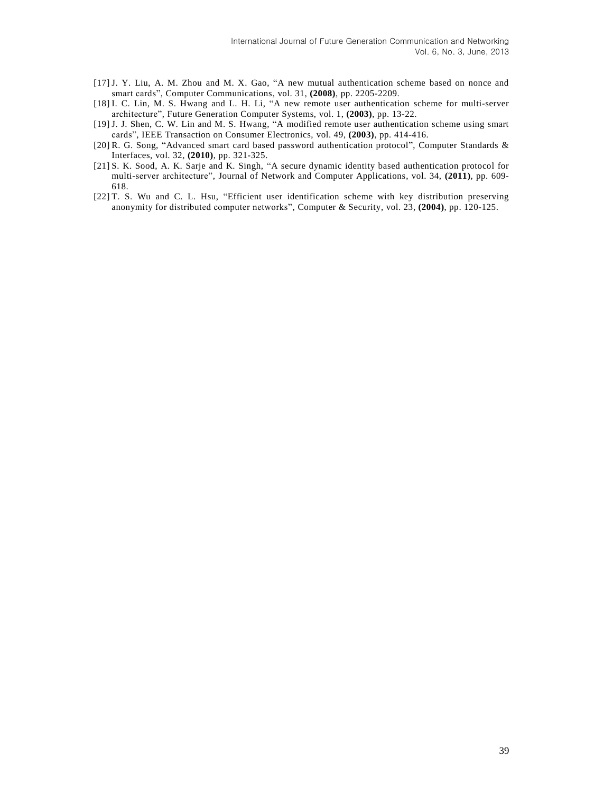- [17] J. Y. Liu, A. M. Zhou and M. X. Gao, "A new mutual authentication scheme based on nonce and smart cards", Computer Communications, vol. 31, **(2008)**, pp. 2205-2209.
- [18] I. C. Lin, M. S. Hwang and L. H. Li, "A new remote user authentication scheme for multi-server architecture", Future Generation Computer Systems, vol. 1, **(2003)**, pp. 13-22.
- [19] J. J. Shen, C. W. Lin and M. S. Hwang, "A modified remote user authentication scheme using smart cards", IEEE Transaction on Consumer Electronics, vol. 49, **(2003)**, pp. 414-416.
- [20] R. G. Song, "Advanced smart card based password authentication protocol", Computer Standards & Interfaces, vol. 32, **(2010)**, pp. 321-325.
- [21] S. K. Sood, A. K. Sarje and K. Singh, "A secure dynamic identity based authentication protocol for multi-server architecture", Journal of Network and Computer Applications, vol. 34, **(2011)**, pp. 609- 618.
- [22] T. S. Wu and C. L. Hsu, "Efficient user identification scheme with key distribution preserving anonymity for distributed computer networks", Computer & Security, vol. 23, **(2004)**, pp. 120-125.